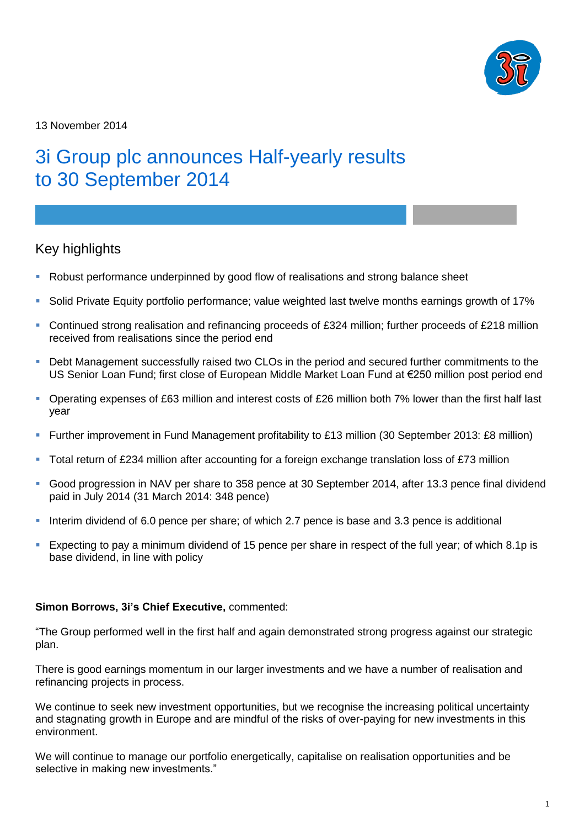

13 November 2014

# 3i Group plc announces Half-yearly results to 30 September 2014

### Key highlights

- Robust performance underpinned by good flow of realisations and strong balance sheet
- Solid Private Equity portfolio performance; value weighted last twelve months earnings growth of 17%
- Continued strong realisation and refinancing proceeds of £324 million; further proceeds of £218 million received from realisations since the period end
- Debt Management successfully raised two CLOs in the period and secured further commitments to the US Senior Loan Fund; first close of European Middle Market Loan Fund at €250 million post period end
- Operating expenses of £63 million and interest costs of £26 million both 7% lower than the first half last year
- Further improvement in Fund Management profitability to £13 million (30 September 2013: £8 million)
- Total return of £234 million after accounting for a foreign exchange translation loss of £73 million
- Good progression in NAV per share to 358 pence at 30 September 2014, after 13.3 pence final dividend paid in July 2014 (31 March 2014: 348 pence)
- Interim dividend of 6.0 pence per share; of which 2.7 pence is base and 3.3 pence is additional
- Expecting to pay a minimum dividend of 15 pence per share in respect of the full year; of which 8.1p is base dividend, in line with policy

### **Simon Borrows, 3i's Chief Executive,** commented:

"The Group performed well in the first half and again demonstrated strong progress against our strategic plan.

There is good earnings momentum in our larger investments and we have a number of realisation and refinancing projects in process.

We continue to seek new investment opportunities, but we recognise the increasing political uncertainty and stagnating growth in Europe and are mindful of the risks of over-paying for new investments in this environment.

We will continue to manage our portfolio energetically, capitalise on realisation opportunities and be selective in making new investments."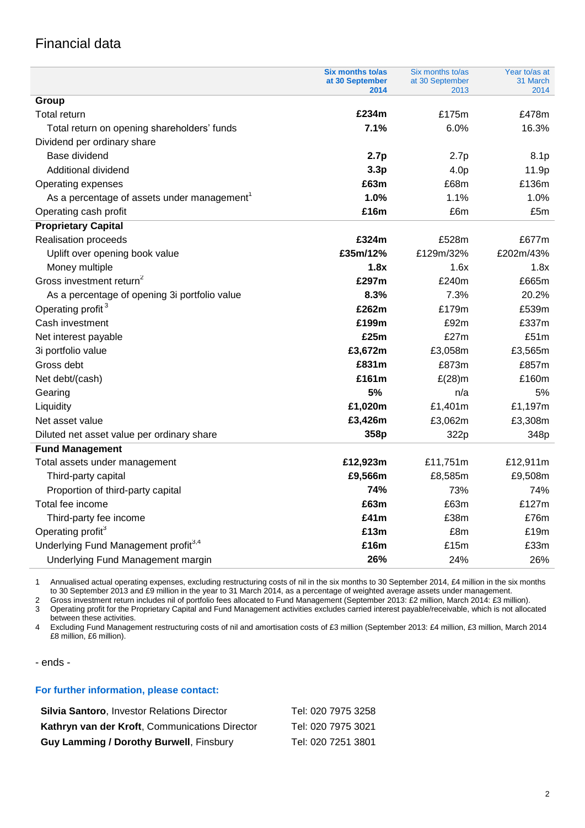## Financial data

|                                                           | <b>Six months to/as</b><br>at 30 September | Six months to/as<br>at 30 September | Year to/as at<br>31 March |
|-----------------------------------------------------------|--------------------------------------------|-------------------------------------|---------------------------|
| Group                                                     | 2014                                       | 2013                                | 2014                      |
| <b>Total return</b>                                       | £234m                                      | £175m                               | £478m                     |
| Total return on opening shareholders' funds               | 7.1%                                       | 6.0%                                | 16.3%                     |
| Dividend per ordinary share                               |                                            |                                     |                           |
| Base dividend                                             | 2.7p                                       | 2.7p                                | 8.1p                      |
| Additional dividend                                       | 3.3p                                       | 4.0p                                | 11.9p                     |
|                                                           | £63m                                       | £68m                                | £136m                     |
| Operating expenses                                        | 1.0%                                       | 1.1%                                | 1.0%                      |
| As a percentage of assets under management                | £16m                                       | £6m                                 | £5m                       |
| Operating cash profit                                     |                                            |                                     |                           |
| <b>Proprietary Capital</b><br><b>Realisation proceeds</b> | £324m                                      | £528m                               | £677m                     |
|                                                           | £35m/12%                                   | £129m/32%                           | £202m/43%                 |
| Uplift over opening book value                            |                                            | 1.6x                                | 1.8x                      |
| Money multiple<br>Gross investment return <sup>2</sup>    | 1.8x<br>£297m                              | £240m                               | £665m                     |
|                                                           |                                            |                                     | 20.2%                     |
| As a percentage of opening 3i portfolio value             | 8.3%                                       | 7.3%                                | £539m                     |
| Operating profit <sup>3</sup>                             | £262m<br>£199m                             | £179m                               |                           |
| Cash investment                                           | £25m                                       | £92m<br>£27m                        | £337m<br>£51m             |
| Net interest payable                                      |                                            |                                     |                           |
| 3i portfolio value                                        | £3,672m                                    | £3,058m                             | £3,565m                   |
| Gross debt                                                | £831m                                      | £873m                               | £857m                     |
| Net debt/(cash)                                           | £161m                                      | $E(28)$ m                           | £160m                     |
| Gearing                                                   | 5%                                         | n/a                                 | 5%                        |
| Liquidity                                                 | £1,020m                                    | £1,401m                             | £1,197m                   |
| Net asset value                                           | £3,426m                                    | £3,062m                             | £3,308m                   |
| Diluted net asset value per ordinary share                | 358p                                       | 322p                                | 348p                      |
| <b>Fund Management</b>                                    |                                            |                                     |                           |
| Total assets under management                             | £12,923m                                   | £11,751m                            | £12,911m                  |
| Third-party capital                                       | £9,566m                                    | £8,585m                             | £9,508m                   |
| Proportion of third-party capital                         | 74%                                        | 73%                                 | 74%                       |
| Total fee income                                          | £63m                                       | £63m                                | £127m                     |
| Third-party fee income                                    | £41m                                       | £38m                                | £76m                      |
| Operating profit <sup>3</sup>                             | £13m                                       | £8m                                 | £19m                      |
| Underlying Fund Management profit <sup>3,4</sup>          | £16m                                       | £15m                                | £33m                      |
| Underlying Fund Management margin                         | 26%                                        | 24%                                 | 26%                       |

1 Annualised actual operating expenses, excluding restructuring costs of nil in the six months to 30 September 2014, £4 million in the six months to 30 September 2013 and £9 million in the year to 31 March 2014, as a percentage of weighted average assets under management.

2 Gross investment return includes nil of portfolio fees allocated to Fund Management (September 2013: £2 million, March 2014: £3 million).

3 Operating profit for the Proprietary Capital and Fund Management activities excludes carried interest payable/receivable, which is not allocated between these activities.

4 Excluding Fund Management restructuring costs of nil and amortisation costs of £3 million (September 2013: £4 million, £3 million, March 2014 £8 million, £6 million).

- ends -

#### **For further information, please contact:**

| <b>Silvia Santoro, Investor Relations Director</b> | Tel: 020 7975 3258 |
|----------------------------------------------------|--------------------|
| Kathryn van der Kroft, Communications Director     | Tel: 020 7975 3021 |
| <b>Guy Lamming / Dorothy Burwell, Finsbury</b>     | Tel: 020 7251 3801 |